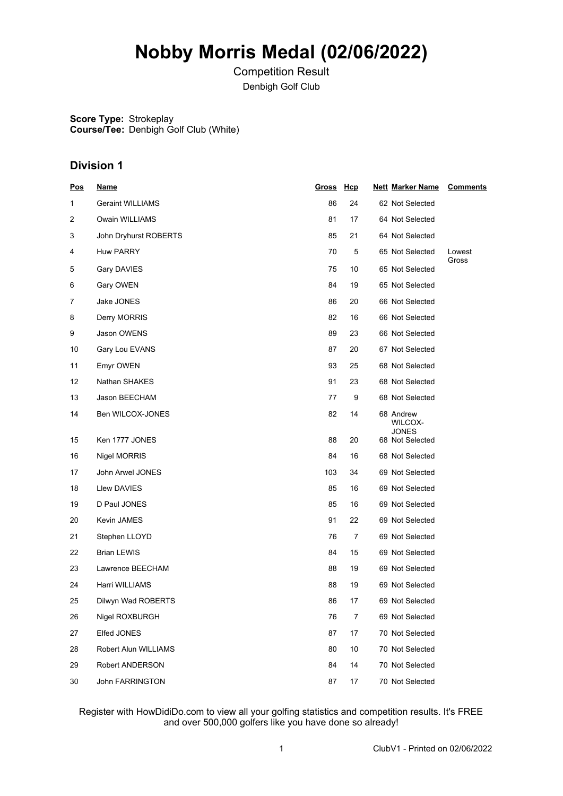# **Nobby Morris Medal (02/06/2022)**

Competition Result Denbigh Golf Club

**Score Type:** Strokeplay **Course/Tee:** Denbigh Golf Club (White)

## **Division 1**

| Pos            | <u>Name</u>             | Gross Hcp |                | <b>Nett Marker Name</b>              | <b>Comments</b> |
|----------------|-------------------------|-----------|----------------|--------------------------------------|-----------------|
| 1              | <b>Geraint WILLIAMS</b> | 86        | 24             | 62 Not Selected                      |                 |
| $\overline{c}$ | Owain WILLIAMS          | 81        | 17             | 64 Not Selected                      |                 |
| 3              | John Dryhurst ROBERTS   | 85        | 21             | 64 Not Selected                      |                 |
| 4              | <b>Huw PARRY</b>        | 70        | 5              | 65 Not Selected                      | Lowest          |
| 5              | Gary DAVIES             | 75        | 10             | 65 Not Selected                      | Gross           |
| 6              | Gary OWEN               | 84        | 19             | 65 Not Selected                      |                 |
| 7              | Jake JONES              | 86        | 20             | 66 Not Selected                      |                 |
| 8              | Derry MORRIS            | 82        | 16             | 66 Not Selected                      |                 |
| 9              | Jason OWENS             | 89        | 23             | 66 Not Selected                      |                 |
| 10             | Gary Lou EVANS          | 87        | 20             | 67 Not Selected                      |                 |
| 11             | Emyr OWEN               | 93        | 25             | 68 Not Selected                      |                 |
| 12             | Nathan SHAKES           | 91        | 23             | 68 Not Selected                      |                 |
| 13             | Jason BEECHAM           | 77        | 9              | 68 Not Selected                      |                 |
| 14             | Ben WILCOX-JONES        | 82        | 14             | 68 Andrew<br>WILCOX-<br><b>JONES</b> |                 |
| 15             | Ken 1777 JONES          | 88        | 20             | 68 Not Selected                      |                 |
| 16             | <b>Nigel MORRIS</b>     | 84        | 16             | 68 Not Selected                      |                 |
| 17             | John Arwel JONES        | 103       | 34             | 69 Not Selected                      |                 |
| 18             | Llew DAVIES             | 85        | 16             | 69 Not Selected                      |                 |
| 19             | D Paul JONES            | 85        | 16             | 69 Not Selected                      |                 |
| 20             | Kevin JAMES             | 91        | 22             | 69 Not Selected                      |                 |
| 21             | Stephen LLOYD           | 76        | 7              | 69 Not Selected                      |                 |
| 22             | <b>Brian LEWIS</b>      | 84        | 15             | 69 Not Selected                      |                 |
| 23             | Lawrence BEECHAM        | 88        | 19             | 69 Not Selected                      |                 |
| 24             | Harri WILLIAMS          | 88        | 19             | 69 Not Selected                      |                 |
| 25             | Dilwyn Wad ROBERTS      | 86        | 17             | 69 Not Selected                      |                 |
| 26             | Nigel ROXBURGH          | 76        | $\overline{7}$ | 69 Not Selected                      |                 |
| 27             | Elfed JONES             | 87        | 17             | 70 Not Selected                      |                 |
| 28             | Robert Alun WILLIAMS    | 80        | 10             | 70 Not Selected                      |                 |
| 29             | <b>Robert ANDERSON</b>  | 84        | 14             | 70 Not Selected                      |                 |
| 30             | John FARRINGTON         | 87        | 17             | 70 Not Selected                      |                 |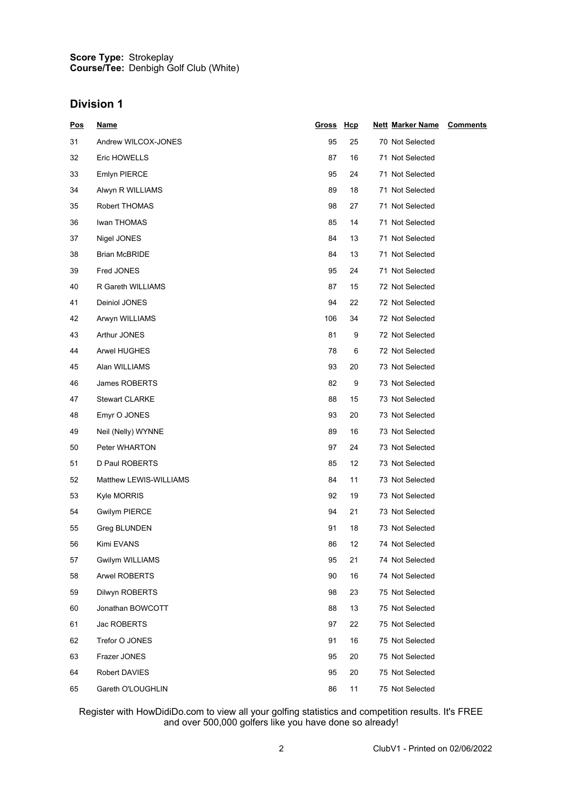#### **Score Type: Course/Tee:** Strokeplay Denbigh Golf Club (White)

### **Division 1**

| <u>Pos</u> | <u>Name</u>            | Gross Hcp |    | <b>Nett Marker Name</b> | <b>Comments</b> |
|------------|------------------------|-----------|----|-------------------------|-----------------|
| 31         | Andrew WILCOX-JONES    | 95        | 25 | 70 Not Selected         |                 |
| 32         | Eric HOWELLS           | 87        | 16 | 71 Not Selected         |                 |
| 33         | <b>Emlyn PIERCE</b>    | 95        | 24 | 71 Not Selected         |                 |
| 34         | Alwyn R WILLIAMS       | 89        | 18 | 71 Not Selected         |                 |
| 35         | Robert THOMAS          | 98        | 27 | 71 Not Selected         |                 |
| 36         | Iwan THOMAS            | 85        | 14 | 71 Not Selected         |                 |
| 37         | Nigel JONES            | 84        | 13 | 71 Not Selected         |                 |
| 38         | <b>Brian McBRIDE</b>   | 84        | 13 | 71 Not Selected         |                 |
| 39         | Fred JONES             | 95        | 24 | 71 Not Selected         |                 |
| 40         | R Gareth WILLIAMS      | 87        | 15 | 72 Not Selected         |                 |
| 41         | Deiniol JONES          | 94        | 22 | 72 Not Selected         |                 |
| 42         | Arwyn WILLIAMS         | 106       | 34 | 72 Not Selected         |                 |
| 43         | Arthur JONES           | 81        | 9  | 72 Not Selected         |                 |
| 44         | Arwel HUGHES           | 78        | 6  | 72 Not Selected         |                 |
| 45         | Alan WILLIAMS          | 93        | 20 | 73 Not Selected         |                 |
| 46         | James ROBERTS          | 82        | 9  | 73 Not Selected         |                 |
| 47         | <b>Stewart CLARKE</b>  | 88        | 15 | 73 Not Selected         |                 |
| 48         | Emyr O JONES           | 93        | 20 | 73 Not Selected         |                 |
| 49         | Neil (Nelly) WYNNE     | 89        | 16 | 73 Not Selected         |                 |
| 50         | Peter WHARTON          | 97        | 24 | 73 Not Selected         |                 |
| 51         | D Paul ROBERTS         | 85        | 12 | 73 Not Selected         |                 |
| 52         | Matthew LEWIS-WILLIAMS | 84        | 11 | 73 Not Selected         |                 |
| 53         | Kyle MORRIS            | 92        | 19 | 73 Not Selected         |                 |
| 54         | <b>Gwilym PIERCE</b>   | 94        | 21 | 73 Not Selected         |                 |
| 55         | Greg BLUNDEN           | 91        | 18 | 73 Not Selected         |                 |
| 56         | Kimi EVANS             | 86        | 12 | 74 Not Selected         |                 |
| 57         | Gwilym WILLIAMS        | 95        | 21 | 74 Not Selected         |                 |
| 58         | <b>Arwel ROBERTS</b>   | 90        | 16 | 74 Not Selected         |                 |
| 59         | Dilwyn ROBERTS         | 98        | 23 | 75 Not Selected         |                 |
| 60         | Jonathan BOWCOTT       | 88        | 13 | 75 Not Selected         |                 |
| 61         | Jac ROBERTS            | 97        | 22 | 75 Not Selected         |                 |
| 62         | Trefor O JONES         | 91        | 16 | 75 Not Selected         |                 |
| 63         | Frazer JONES           | 95        | 20 | 75 Not Selected         |                 |
| 64         | Robert DAVIES          | 95        | 20 | 75 Not Selected         |                 |
| 65         | Gareth O'LOUGHLIN      | 86        | 11 | 75 Not Selected         |                 |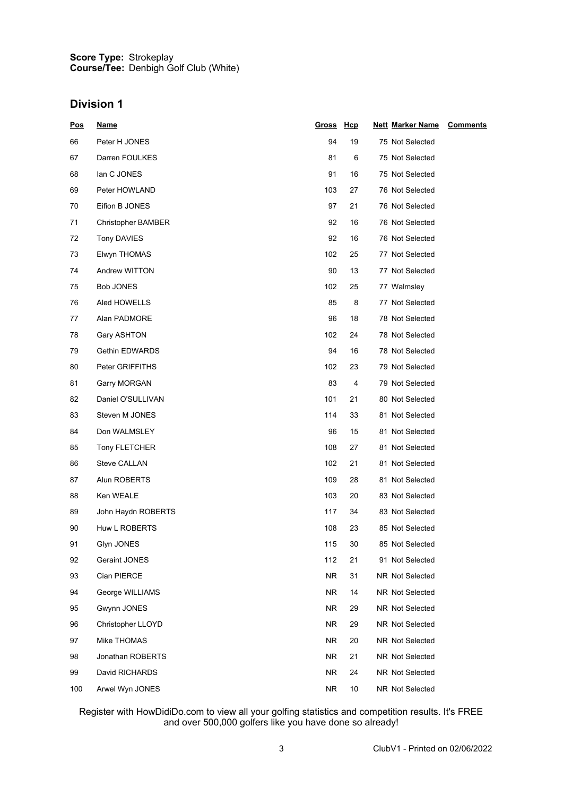#### **Score Type: Course/Tee:** Strokeplay Denbigh Golf Club (White)

# **Division 1**

| <u>Pos</u> | <u>Name</u>               | Gross Hcp |    | <b>Nett Marker Name</b> | <b>Comments</b> |
|------------|---------------------------|-----------|----|-------------------------|-----------------|
| 66         | Peter H JONES             | 94        | 19 | 75 Not Selected         |                 |
| 67         | Darren FOULKES            | 81        | 6  | 75 Not Selected         |                 |
| 68         | lan C JONES               | 91        | 16 | 75 Not Selected         |                 |
| 69         | Peter HOWLAND             | 103       | 27 | 76 Not Selected         |                 |
| 70         | Eifion B JONES            | 97        | 21 | 76 Not Selected         |                 |
| 71         | <b>Christopher BAMBER</b> | 92        | 16 | 76 Not Selected         |                 |
| 72         | <b>Tony DAVIES</b>        | 92        | 16 | 76 Not Selected         |                 |
| 73         | Elwyn THOMAS              | 102       | 25 | 77 Not Selected         |                 |
| 74         | Andrew WITTON             | 90        | 13 | 77 Not Selected         |                 |
| 75         | Bob JONES                 | 102       | 25 | 77 Walmsley             |                 |
| 76         | Aled HOWELLS              | 85        | 8  | 77 Not Selected         |                 |
| 77         | Alan PADMORE              | 96        | 18 | 78 Not Selected         |                 |
| 78         | Gary ASHTON               | 102       | 24 | 78 Not Selected         |                 |
| 79         | Gethin EDWARDS            | 94        | 16 | 78 Not Selected         |                 |
| 80         | Peter GRIFFITHS           | 102       | 23 | 79 Not Selected         |                 |
| 81         | Garry MORGAN              | 83        | 4  | 79 Not Selected         |                 |
| 82         | Daniel O'SULLIVAN         | 101       | 21 | 80 Not Selected         |                 |
| 83         | Steven M JONES            | 114       | 33 | 81 Not Selected         |                 |
| 84         | Don WALMSLEY              | 96        | 15 | 81 Not Selected         |                 |
| 85         | Tony FLETCHER             | 108       | 27 | 81 Not Selected         |                 |
| 86         | Steve CALLAN              | 102       | 21 | 81 Not Selected         |                 |
| 87         | Alun ROBERTS              | 109       | 28 | 81 Not Selected         |                 |
| 88         | Ken WEALE                 | 103       | 20 | 83 Not Selected         |                 |
| 89         | John Haydn ROBERTS        | 117       | 34 | 83 Not Selected         |                 |
| 90         | Huw L ROBERTS             | 108       | 23 | 85 Not Selected         |                 |
| 91         | Glyn JONES                | 115       | 30 | 85 Not Selected         |                 |
| 92         | Geraint JONES             | 112       | 21 | 91 Not Selected         |                 |
| 93         | Cian PIERCE               | <b>NR</b> | 31 | NR Not Selected         |                 |
| 94         | George WILLIAMS           | NR.       | 14 | NR Not Selected         |                 |
| 95         | Gwynn JONES               | NR.       | 29 | NR Not Selected         |                 |
| 96         | Christopher LLOYD         | NR.       | 29 | NR Not Selected         |                 |
| 97         | Mike THOMAS               | NR.       | 20 | NR Not Selected         |                 |
| 98         | Jonathan ROBERTS          | <b>NR</b> | 21 | NR Not Selected         |                 |
| 99         | David RICHARDS            | <b>NR</b> | 24 | NR Not Selected         |                 |
| 100        | Arwel Wyn JONES           | NR.       | 10 | NR Not Selected         |                 |